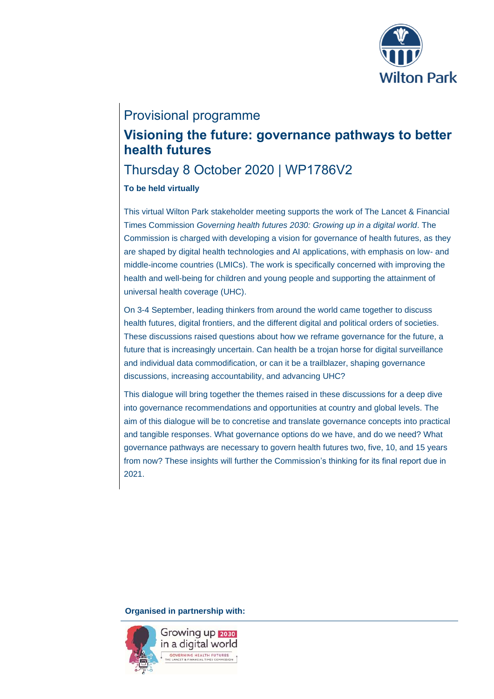

# Provisional programme

# **Visioning the future: governance pathways to better health futures**

# Thursday 8 October 2020 | WP1786V2

# **To be held virtually**

This virtual Wilton Park stakeholder meeting supports the work of The Lancet & Financial Times Commission *Governing health futures 2030: Growing up in a digital world*. The Commission is charged with developing a vision for governance of health futures, as they are shaped by digital health technologies and AI applications, with emphasis on low- and middle-income countries (LMICs). The work is specifically concerned with improving the health and well-being for children and young people and supporting the attainment of universal health coverage (UHC).

On 3-4 September, leading thinkers from around the world came together to discuss health futures, digital frontiers, and the different digital and political orders of societies. These discussions raised questions about how we reframe governance for the future, a future that is increasingly uncertain. Can health be a trojan horse for digital surveillance and individual data commodification, or can it be a trailblazer, shaping governance discussions, increasing accountability, and advancing UHC?

This dialogue will bring together the themes raised in these discussions for a deep dive into governance recommendations and opportunities at country and global levels. The aim of this dialogue will be to concretise and translate governance concepts into practical and tangible responses. What governance options do we have, and do we need? What governance pathways are necessary to govern health futures two, five, 10, and 15 years from now? These insights will further the Commission's thinking for its final report due in 2021.

**Organised in partnership with:**

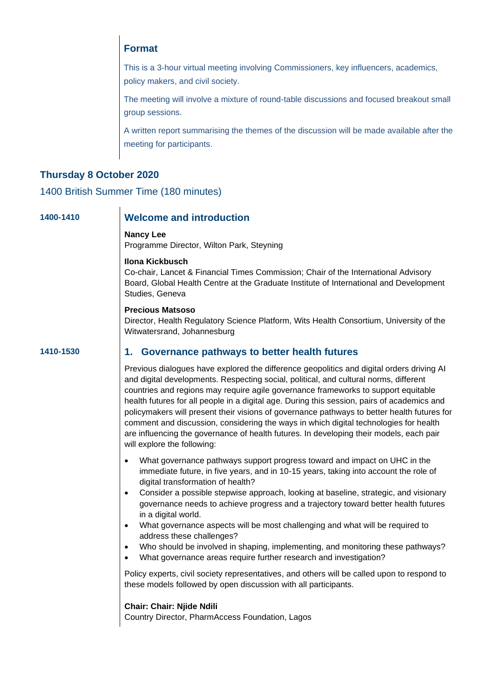# **Format**

This is a 3-hour virtual meeting involving Commissioners, key influencers, academics, policy makers, and civil society.

The meeting will involve a mixture of round-table discussions and focused breakout small group sessions.

A written report summarising the themes of the discussion will be made available after the meeting for participants.

# **Thursday 8 October 2020**

1400 British Summer Time (180 minutes)

## **1400-1410 Welcome and introduction**

**Nancy Lee**

Programme Director, Wilton Park, Steyning

**Ilona Kickbusch** 

Co-chair, Lancet & Financial Times Commission; Chair of the International Advisory Board, Global Health Centre at the Graduate Institute of International and Development Studies, Geneva

#### **Precious Matsoso**

Director, Health Regulatory Science Platform, Wits Health Consortium, University of the Witwatersrand, Johannesburg

# **1410-1530 1. Governance pathways to better health futures**

Previous dialogues have explored the difference geopolitics and digital orders driving AI and digital developments. Respecting social, political, and cultural norms, different countries and regions may require agile governance frameworks to support equitable health futures for all people in a digital age. During this session, pairs of academics and policymakers will present their visions of governance pathways to better health futures for comment and discussion, considering the ways in which digital technologies for health are influencing the governance of health futures. In developing their models, each pair will explore the following:

- What governance pathways support progress toward and impact on UHC in the immediate future, in five years, and in 10-15 years, taking into account the role of digital transformation of health?
- Consider a possible stepwise approach, looking at baseline, strategic, and visionary governance needs to achieve progress and a trajectory toward better health futures in a digital world.
- What governance aspects will be most challenging and what will be required to address these challenges?
- Who should be involved in shaping, implementing, and monitoring these pathways?
- What governance areas require further research and investigation?

Policy experts, civil society representatives, and others will be called upon to respond to these models followed by open discussion with all participants.

#### **Chair: Chair: Njide Ndili**

Country Director, PharmAccess Foundation, Lagos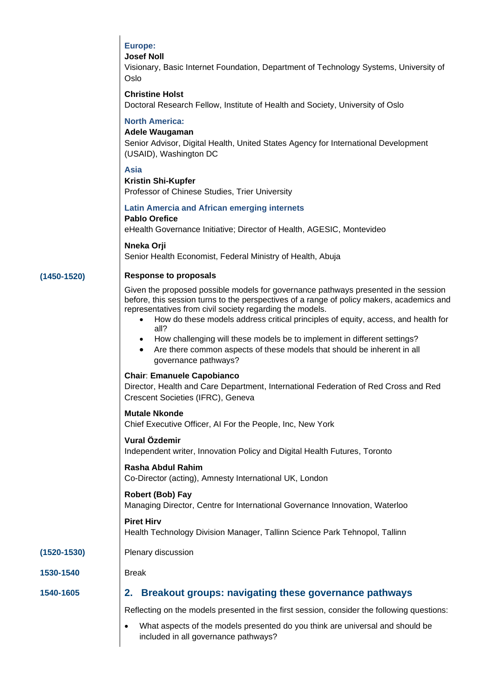# **Europe:**

### **Josef Noll**

Visionary, Basic Internet Foundation, Department of Technology Systems, University of Oslo

# **Christine Holst**

Doctoral Research Fellow, Institute of Health and Society, University of Oslo

## **North America:**

#### **Adele Waugaman**

Senior Advisor, Digital Health, United States Agency for International Development (USAID), Washington DC

## **Asia**

#### **Kristin Shi-Kupfer**

Professor of Chinese Studies, Trier University

#### **Latin Amercia and African emerging internets**

# **Pablo Orefice**

eHealth Governance Initiative; Director of Health, AGESIC, Montevideo

#### **Nneka Orji**

Senior Health Economist, Federal Ministry of Health, Abuja

### **(1450-1520) Response to proposals**

Given the proposed possible models for governance pathways presented in the session before, this session turns to the perspectives of a range of policy makers, academics and representatives from civil society regarding the models.

- How do these models address critical principles of equity, access, and health for all?
- How challenging will these models be to implement in different settings?
- Are there common aspects of these models that should be inherent in all governance pathways?

#### **Chair**: **Emanuele Capobianco**

Director, Health and Care Department, International Federation of Red Cross and Red Crescent Societies (IFRC), Geneva

#### **Mutale Nkonde**

Chief Executive Officer, AI For the People, Inc, New York

#### **Vural Özdemir**

Independent writer, Innovation Policy and Digital Health Futures, Toronto

#### **Rasha Abdul Rahim**

Co-Director (acting), Amnesty International UK, London

#### **Robert (Bob) Fay** Managing Director, Centre for International Governance Innovation, Waterloo

#### **Piret Hirv**

Health Technology Division Manager, Tallinn Science Park Tehnopol, Tallinn

#### **(1520-1530)** Plenary discussion

**1530-1540** Break

## **1540-1605 2. Breakout groups: navigating these governance pathways**

Reflecting on the models presented in the first session, consider the following questions:

• What aspects of the models presented do you think are universal and should be included in all governance pathways?